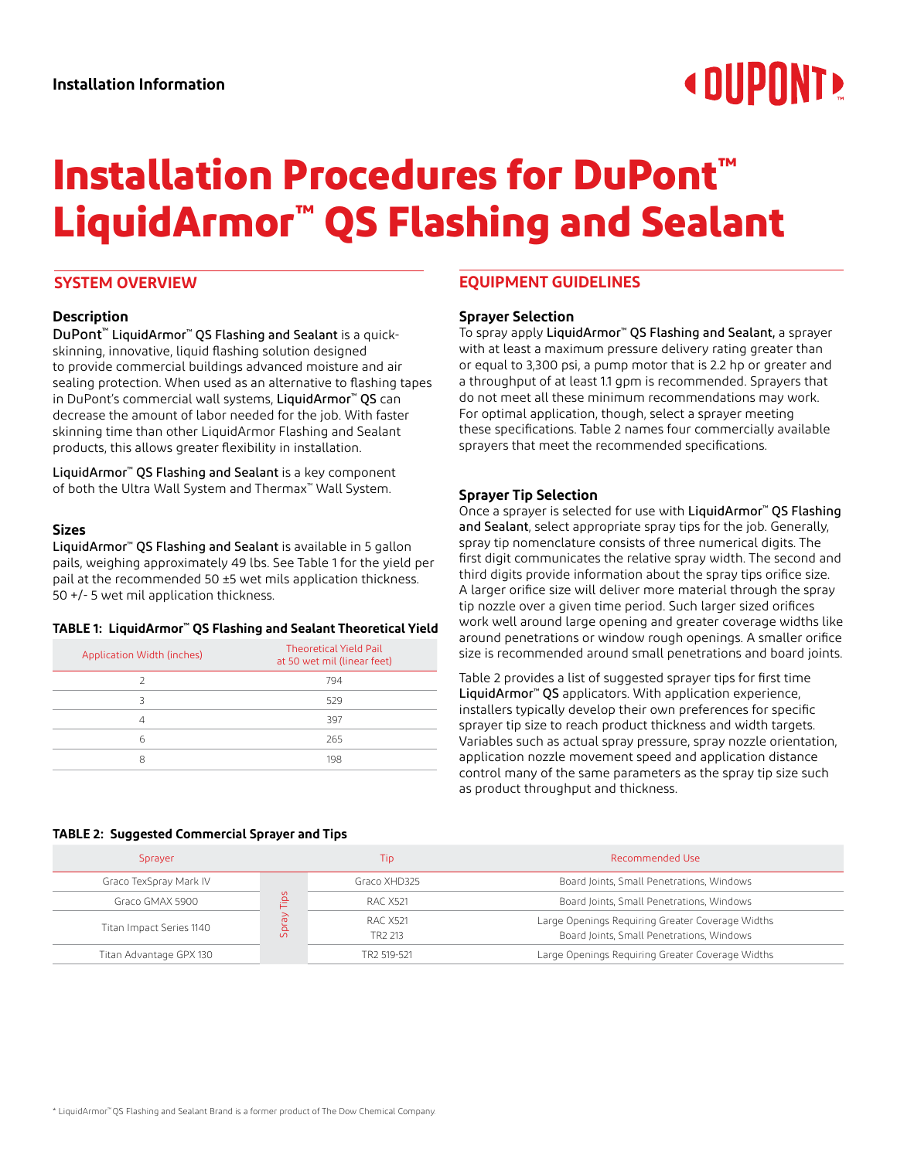# **« OUPONT!**

# **Installation Procedures for DuPont™ LiquidArmor™ QS Flashing and Sealant**

# **SYSTEM OVERVIEW**

# **Description**

DuPont™ LiquidArmor™ QS Flashing and Sealant is a quickskinning, innovative, liquid flashing solution designed to provide commercial buildings advanced moisture and air sealing protection. When used as an alternative to flashing tapes in DuPont's commercial wall systems, LiquidArmor™ QS can decrease the amount of labor needed for the job. With faster skinning time than other LiquidArmor Flashing and Sealant products, this allows greater flexibility in installation.

LiquidArmor™ QS Flashing and Sealant is a key component of both the Ultra Wall System and Thermax™ Wall System.

# **Sizes**

LiquidArmor™ QS Flashing and Sealant is available in 5 gallon pails, weighing approximately 49 lbs. See Table 1 for the yield per pail at the recommended 50 ±5 wet mils application thickness. 50 +/- 5 wet mil application thickness.

#### **TABLE 1: LiquidArmor™ QS Flashing and Sealant Theoretical Yield**

| Application Width (inches) | <b>Theoretical Yield Pail</b><br>at 50 wet mil (linear feet) |
|----------------------------|--------------------------------------------------------------|
|                            | 794                                                          |
|                            | 529                                                          |
| 4                          | 397                                                          |
| Б                          | 265                                                          |
| я                          | 198                                                          |

# **EQUIPMENT GUIDELINES**

#### **Sprayer Selection**

To spray apply LiquidArmor™ QS Flashing and Sealant, a sprayer with at least a maximum pressure delivery rating greater than or equal to 3,300 psi, a pump motor that is 2.2 hp or greater and a throughput of at least 1.1 gpm is recommended. Sprayers that do not meet all these minimum recommendations may work. For optimal application, though, select a sprayer meeting these specifications. Table 2 names four commercially available sprayers that meet the recommended specifications.

#### **Sprayer Tip Selection**

Once a sprayer is selected for use with LiquidArmor™ QS Flashing and Sealant, select appropriate spray tips for the job. Generally, spray tip nomenclature consists of three numerical digits. The first digit communicates the relative spray width. The second and third digits provide information about the spray tips orifice size. A larger orifice size will deliver more material through the spray tip nozzle over a given time period. Such larger sized orifices work well around large opening and greater coverage widths like around penetrations or window rough openings. A smaller orifice size is recommended around small penetrations and board joints.

Table 2 provides a list of suggested sprayer tips for first time LiquidArmor™ QS applicators. With application experience, installers typically develop their own preferences for specific sprayer tip size to reach product thickness and width targets. Variables such as actual spray pressure, spray nozzle orientation, application nozzle movement speed and application distance control many of the same parameters as the spray tip size such as product throughput and thickness.

#### **TABLE 2: Suggested Commercial Sprayer and Tips**

| Sprayer                  |                          | Tip                             | Recommended Use                                                                               |
|--------------------------|--------------------------|---------------------------------|-----------------------------------------------------------------------------------------------|
| Graco TexSpray Mark IV   | ä<br>ਨੇ<br>ā<br>$\Omega$ | Graco XHD325                    | Board Joints, Small Penetrations, Windows                                                     |
| Graco GMAX 5900          |                          | RAC X521                        | Board Joints, Small Penetrations, Windows                                                     |
| Titan Impact Series 1140 |                          | RAC X521<br>TR <sub>2</sub> 213 | Large Openings Requiring Greater Coverage Widths<br>Board Joints, Small Penetrations, Windows |
| Titan Advantage GPX 130  |                          | TR2 519-521                     | Large Openings Requiring Greater Coverage Widths                                              |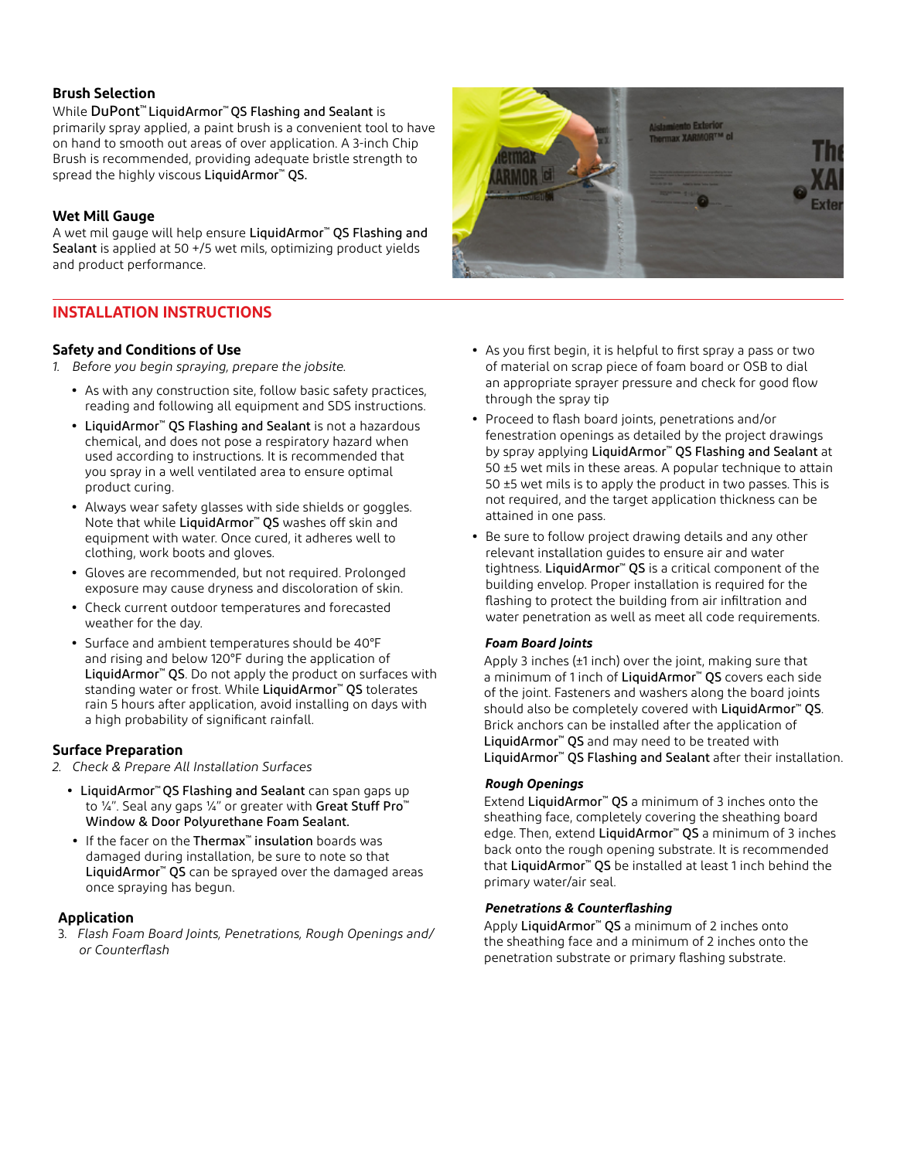# **Brush Selection**

While DuPont™ LiquidArmor™ QS Flashing and Sealant is primarily spray applied, a paint brush is a convenient tool to have on hand to smooth out areas of over application. A 3-inch Chip Brush is recommended, providing adequate bristle strength to spread the highly viscous LiquidArmor™ QS.

# **Wet Mill Gauge**

A wet mil gauge will help ensure LiquidArmor™ QS Flashing and Sealant is applied at 50 +/5 wet mils, optimizing product yields and product performance.

# **INSTALLATION INSTRUCTIONS**

# **Safety and Conditions of Use**

- *1. Before you begin spraying, prepare the jobsite.*
	- **•** As with any construction site, follow basic safety practices, reading and following all equipment and SDS instructions.
	- **•** LiquidArmor™ QS Flashing and Sealant is not a hazardous chemical, and does not pose a respiratory hazard when used according to instructions. It is recommended that you spray in a well ventilated area to ensure optimal product curing.
	- **•** Always wear safety glasses with side shields or goggles. Note that while LiquidArmor<sup>™</sup> QS washes off skin and equipment with water. Once cured, it adheres well to clothing, work boots and gloves.
	- **•** Gloves are recommended, but not required. Prolonged exposure may cause dryness and discoloration of skin.
	- **•** Check current outdoor temperatures and forecasted weather for the day.
	- **•** Surface and ambient temperatures should be 40°F and rising and below 120°F during the application of LiquidArmor<sup>™</sup> QS. Do not apply the product on surfaces with standing water or frost. While LiquidArmor™ QS tolerates rain 5 hours after application, avoid installing on days with a high probability of significant rainfall.

# **Surface Preparation**

- *2. Check & Prepare All Installation Surfaces*
	- **•** LiquidArmor™ QS Flashing and Sealant can span gaps up to ¼". Seal any gaps ¼" or greater with Great Stuff Pro<sup>™</sup> Window & Door Polyurethane Foam Sealant.
	- **•** If the facer on the Thermax™ insulation boards was damaged during installation, be sure to note so that LiquidArmor<sup>™</sup> QS can be sprayed over the damaged areas once spraying has begun.

# **Application**

3. *Flash Foam Board Joints, Penetrations, Rough Openings and/ or Counterflash*



- **•** As you first begin, it is helpful to first spray a pass or two of material on scrap piece of foam board or OSB to dial an appropriate sprayer pressure and check for good flow through the spray tip
- **•** Proceed to flash board joints, penetrations and/or fenestration openings as detailed by the project drawings by spray applying LiquidArmor<sup>™</sup> QS Flashing and Sealant at 50 ±5 wet mils in these areas. A popular technique to attain 50 ±5 wet mils is to apply the product in two passes. This is not required, and the target application thickness can be attained in one pass.
- **•** Be sure to follow project drawing details and any other relevant installation guides to ensure air and water tightness. LiquidArmor™ QS is a critical component of the building envelop. Proper installation is required for the flashing to protect the building from air infiltration and water penetration as well as meet all code requirements.

# *Foam Board Joints*

Apply 3 inches (±1 inch) over the joint, making sure that a minimum of 1 inch of LiquidArmor™ QS covers each side of the joint. Fasteners and washers along the board joints should also be completely covered with LiquidArmor<sup>™</sup> QS. Brick anchors can be installed after the application of LiquidArmor<sup>™</sup> QS and may need to be treated with LiquidArmor™ QS Flashing and Sealant after their installation.

# *Rough Openings*

Extend LiquidArmor™ QS a minimum of 3 inches onto the sheathing face, completely covering the sheathing board edge. Then, extend LiquidArmor<sup>™</sup> QS a minimum of 3 inches back onto the rough opening substrate. It is recommended that LiquidArmor™ QS be installed at least 1 inch behind the primary water/air seal.

# *Penetrations & Counterflashing*

Apply LiquidArmor™ QS a minimum of 2 inches onto the sheathing face and a minimum of 2 inches onto the penetration substrate or primary flashing substrate.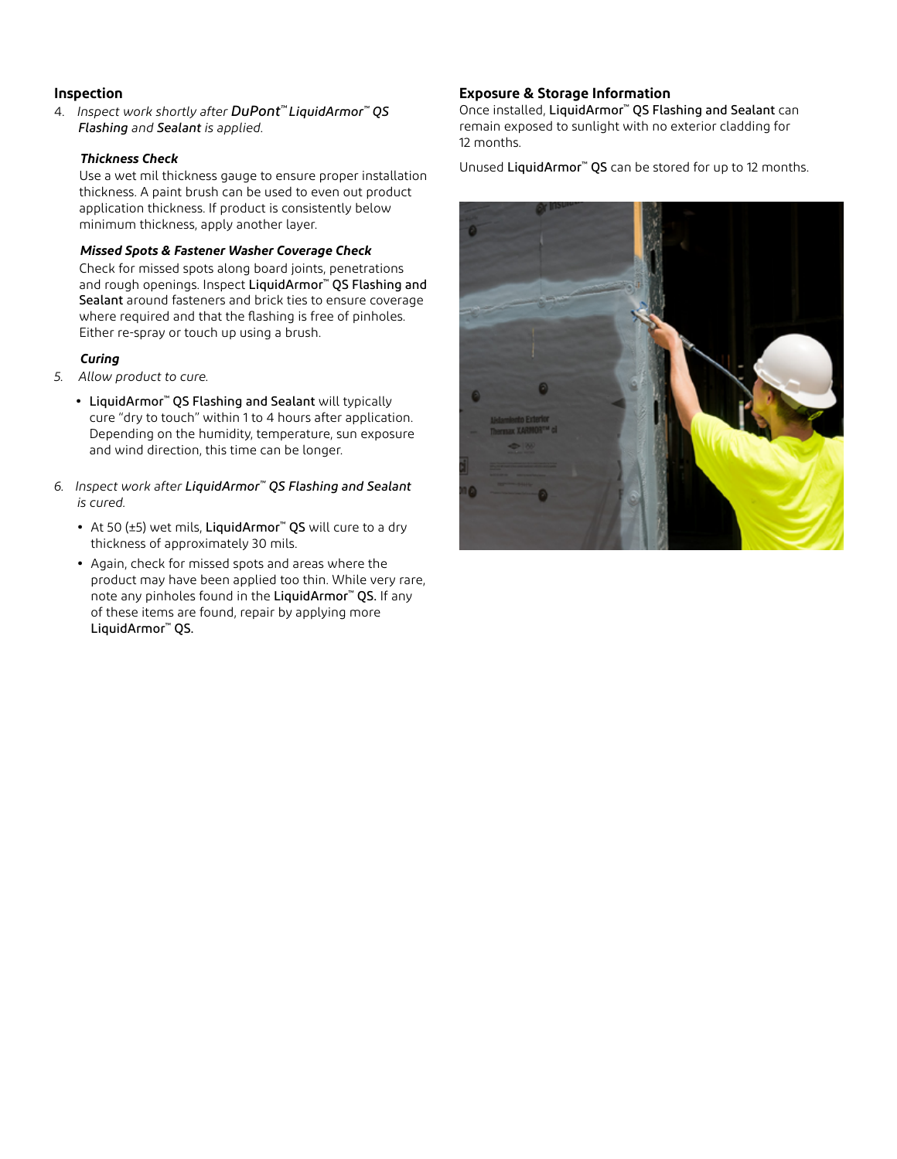# **Inspection**

4. *Inspect work shortly after DuPont™ LiquidArmor™ QS Flashing and Sealant is applied.*

### *Thickness Check*

Use a wet mil thickness gauge to ensure proper installation thickness. A paint brush can be used to even out product application thickness. If product is consistently below minimum thickness, apply another layer.

#### *Missed Spots & Fastener Washer Coverage Check*

Check for missed spots along board joints, penetrations and rough openings. Inspect LiquidArmor™ QS Flashing and Sealant around fasteners and brick ties to ensure coverage where required and that the flashing is free of pinholes. Either re-spray or touch up using a brush.

# *Curing*

- *5. Allow product to cure.*
	- **•** LiquidArmor™ QS Flashing and Sealant will typically cure "dry to touch" within 1 to 4 hours after application. Depending on the humidity, temperature, sun exposure and wind direction, this time can be longer.
- *6. Inspect work after LiquidArmor™ QS Flashing and Sealant is cured.*
	- **•** At 50 (±5) wet mils, LiquidArmor™ QS will cure to a dry thickness of approximately 30 mils.
	- **•** Again, check for missed spots and areas where the product may have been applied too thin. While very rare, note any pinholes found in the LiquidArmor™ QS. If any of these items are found, repair by applying more LiquidArmor™ QS.

# **Exposure & Storage Information**

Once installed, LiquidArmor™ QS Flashing and Sealant can remain exposed to sunlight with no exterior cladding for 12 months.

Unused LiquidArmor™ QS can be stored for up to 12 months.